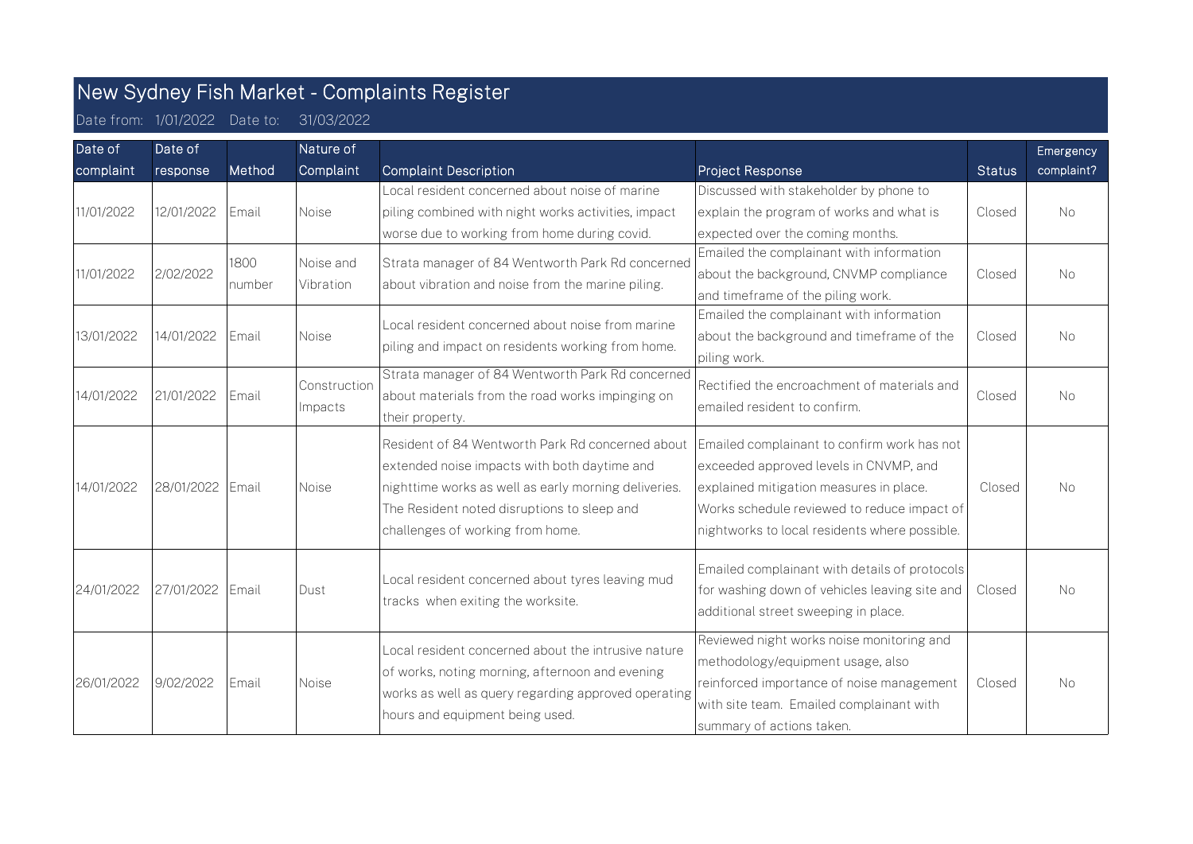## New Sydney Fish Market - Complaints Register

Date from: 1/01/2022 Date to: 31/03/2022

| Date of<br>complaint | Date of<br>response | Method         | Nature of<br>Complaint  | <b>Complaint Description</b>                                                                                                                                                                                                                | Project Response                                                                                                                                                                                                                 | <b>Status</b> | Emergency<br>complaint? |
|----------------------|---------------------|----------------|-------------------------|---------------------------------------------------------------------------------------------------------------------------------------------------------------------------------------------------------------------------------------------|----------------------------------------------------------------------------------------------------------------------------------------------------------------------------------------------------------------------------------|---------------|-------------------------|
| 11/01/2022           | 12/01/2022          | Email          | <b>Noise</b>            | Local resident concerned about noise of marine<br>piling combined with night works activities, impact<br>worse due to working from home during covid.                                                                                       | Discussed with stakeholder by phone to<br>explain the program of works and what is<br>expected over the coming months.                                                                                                           | Closed        | <b>No</b>               |
| 11/01/2022           | 2/02/2022           | 1800<br>number | Noise and<br>Vibration  | Strata manager of 84 Wentworth Park Rd concerned<br>about vibration and noise from the marine piling.                                                                                                                                       | Emailed the complainant with information<br>about the background, CNVMP compliance<br>and timeframe of the piling work.                                                                                                          | Closed        | No                      |
| 13/01/2022           | 14/01/2022          | Email          | Noise                   | Local resident concerned about noise from marine<br>piling and impact on residents working from home.                                                                                                                                       | Emailed the complainant with information<br>about the background and timeframe of the<br>piling work.                                                                                                                            | Closed        | <b>No</b>               |
| 14/01/2022           | 21/01/2022          | Email          | Construction<br>Impacts | Strata manager of 84 Wentworth Park Rd concerned<br>about materials from the road works impinging on<br>their property.                                                                                                                     | Rectified the encroachment of materials and<br>emailed resident to confirm.                                                                                                                                                      | Closed        | <b>No</b>               |
| 14/01/2022           | 28/01/2022 Email    |                | Noise                   | Resident of 84 Wentworth Park Rd concerned about<br>extended noise impacts with both daytime and<br>nighttime works as well as early morning deliveries.<br>The Resident noted disruptions to sleep and<br>challenges of working from home. | Emailed complainant to confirm work has not<br>exceeded approved levels in CNVMP, and<br>explained mitigation measures in place.<br>Works schedule reviewed to reduce impact of<br>nightworks to local residents where possible. | Closed        | <b>No</b>               |
| 24/01/2022           | 27/01/2022          | Email          | Dust                    | Local resident concerned about tyres leaving mud<br>tracks when exiting the worksite.                                                                                                                                                       | Emailed complainant with details of protocols<br>for washing down of vehicles leaving site and<br>additional street sweeping in place.                                                                                           | Closed        | <b>No</b>               |
| 26/01/2022           | 9/02/2022           | l Email        | Noise                   | Local resident concerned about the intrusive nature<br>of works, noting morning, afternoon and evening<br>works as well as query regarding approved operating<br>hours and equipment being used.                                            | Reviewed night works noise monitoring and<br>methodology/equipment usage, also<br>reinforced importance of noise management<br>with site team. Emailed complainant with<br>summary of actions taken.                             | Closed        | <b>No</b>               |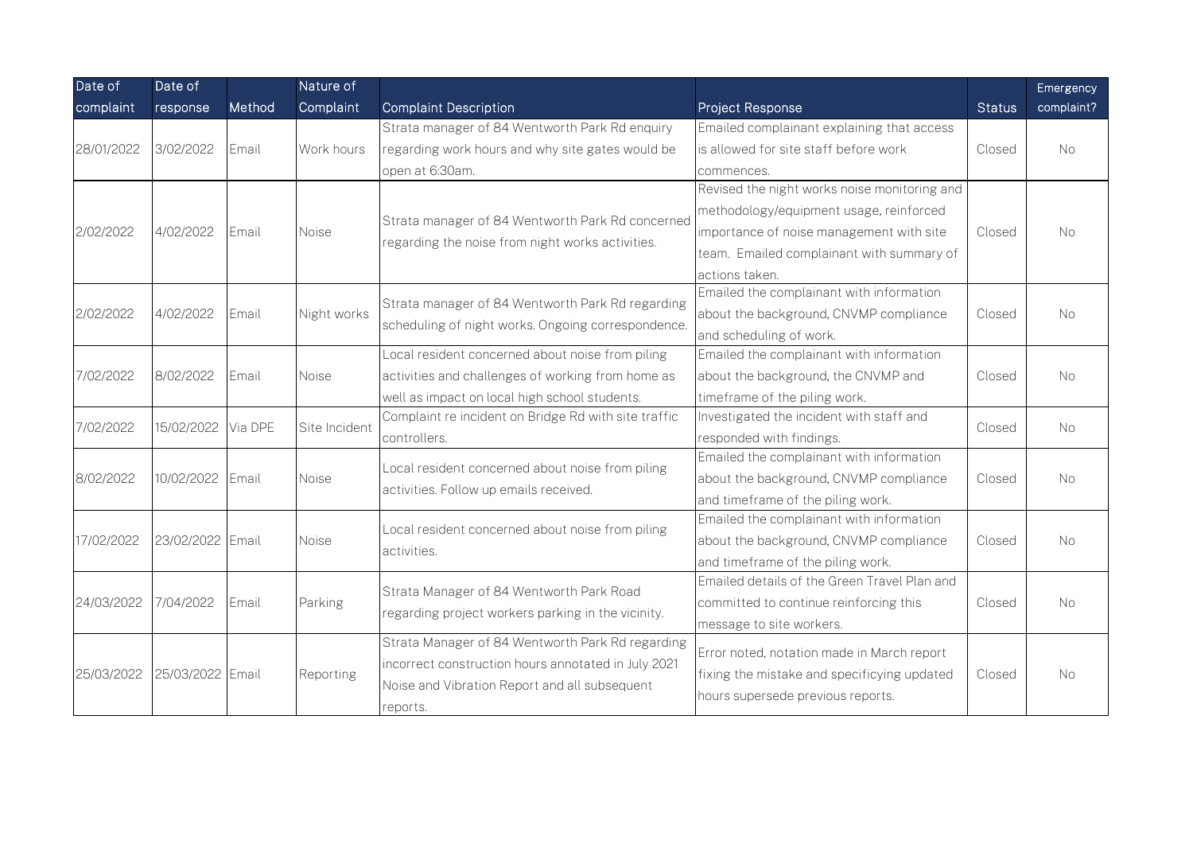| Date of    | Date of          |              | Nature of     |                                                                                                        |                                              |               | Emergency  |
|------------|------------------|--------------|---------------|--------------------------------------------------------------------------------------------------------|----------------------------------------------|---------------|------------|
| complaint  | response         | Method       | Complaint     | <b>Complaint Description</b>                                                                           | Project Response                             | <b>Status</b> | complaint? |
| 28/01/2022 |                  |              | Work hours    | Strata manager of 84 Wentworth Park Rd enquiry                                                         | Emailed complainant explaining that access   |               |            |
|            | 3/02/2022        | Email        |               | regarding work hours and why site gates would be                                                       | is allowed for site staff before work        | Closed        | <b>No</b>  |
|            |                  |              |               | open at 6:30am.                                                                                        | commences.                                   |               |            |
|            |                  | Email        | Noise         | Strata manager of 84 Wentworth Park Rd concerned<br>regarding the noise from night works activities.   | Revised the night works noise monitoring and |               |            |
| 2/02/2022  | 4/02/2022        |              |               |                                                                                                        | methodology/equipment usage, reinforced      |               |            |
|            |                  |              |               |                                                                                                        | importance of noise management with site     | Closed        | No.        |
|            |                  |              |               |                                                                                                        | team. Emailed complainant with summary of    |               |            |
|            |                  |              |               |                                                                                                        | actions taken.                               |               |            |
|            |                  | Email        | Night works   | Strata manager of 84 Wentworth Park Rd regarding<br>scheduling of night works. Ongoing correspondence. | Emailed the complainant with information     |               |            |
| 2/02/2022  | 4/02/2022        |              |               |                                                                                                        | about the background, CNVMP compliance       | Closed        | <b>No</b>  |
|            |                  |              |               |                                                                                                        | and scheduling of work.                      |               |            |
|            | 8/02/2022        | Email        | Noise         | Local resident concerned about noise from piling                                                       | Emailed the complainant with information     | Closed        | <b>No</b>  |
| 7/02/2022  |                  |              |               | activities and challenges of working from home as                                                      | about the background, the CNVMP and          |               |            |
|            |                  |              |               | well as impact on local high school students.                                                          | timeframe of the piling work.                |               |            |
| 7/02/2022  | 15/02/2022       | Via DPE      | Site Incident | Complaint re incident on Bridge Rd with site traffic                                                   | Investigated the incident with staff and     | Closed        | <b>No</b>  |
|            |                  |              |               | controllers.                                                                                           | responded with findings.                     |               |            |
|            | 10/02/2022       | Email        | Noise         | Local resident concerned about noise from piling<br>activities. Follow up emails received.             | Emailed the complainant with information     |               |            |
| 8/02/2022  |                  |              |               |                                                                                                        | about the background, CNVMP compliance       | Closed        | No.        |
|            |                  |              |               |                                                                                                        | and timeframe of the piling work.            |               |            |
|            |                  |              | Noise         | Local resident concerned about noise from piling<br>activities.                                        | Emailed the complainant with information     |               |            |
| 17/02/2022 | 23/02/2022 Email |              |               |                                                                                                        | about the background, CNVMP compliance       | Closed        | <b>No</b>  |
|            |                  |              |               |                                                                                                        | and timeframe of the piling work.            |               |            |
| 24/03/2022 |                  |              |               | Strata Manager of 84 Wentworth Park Road                                                               | Emailed details of the Green Travel Plan and |               |            |
|            | 7/04/2022        | <b>Email</b> | Parking       | regarding project workers parking in the vicinity.                                                     | committed to continue reinforcing this       | Closed        | No.        |
|            |                  |              |               |                                                                                                        | message to site workers.                     |               |            |
| 25/03/2022 | 25/03/2022 Email |              | Reporting     | Strata Manager of 84 Wentworth Park Rd regarding                                                       | Error noted, notation made in March report   |               |            |
|            |                  |              |               | incorrect construction hours annotated in July 2021                                                    | fixing the mistake and specificying updated  | Closed        | No.        |
|            |                  |              |               | Noise and Vibration Report and all subsequent                                                          | hours supersede previous reports.            |               |            |
|            |                  |              |               | reports.                                                                                               |                                              |               |            |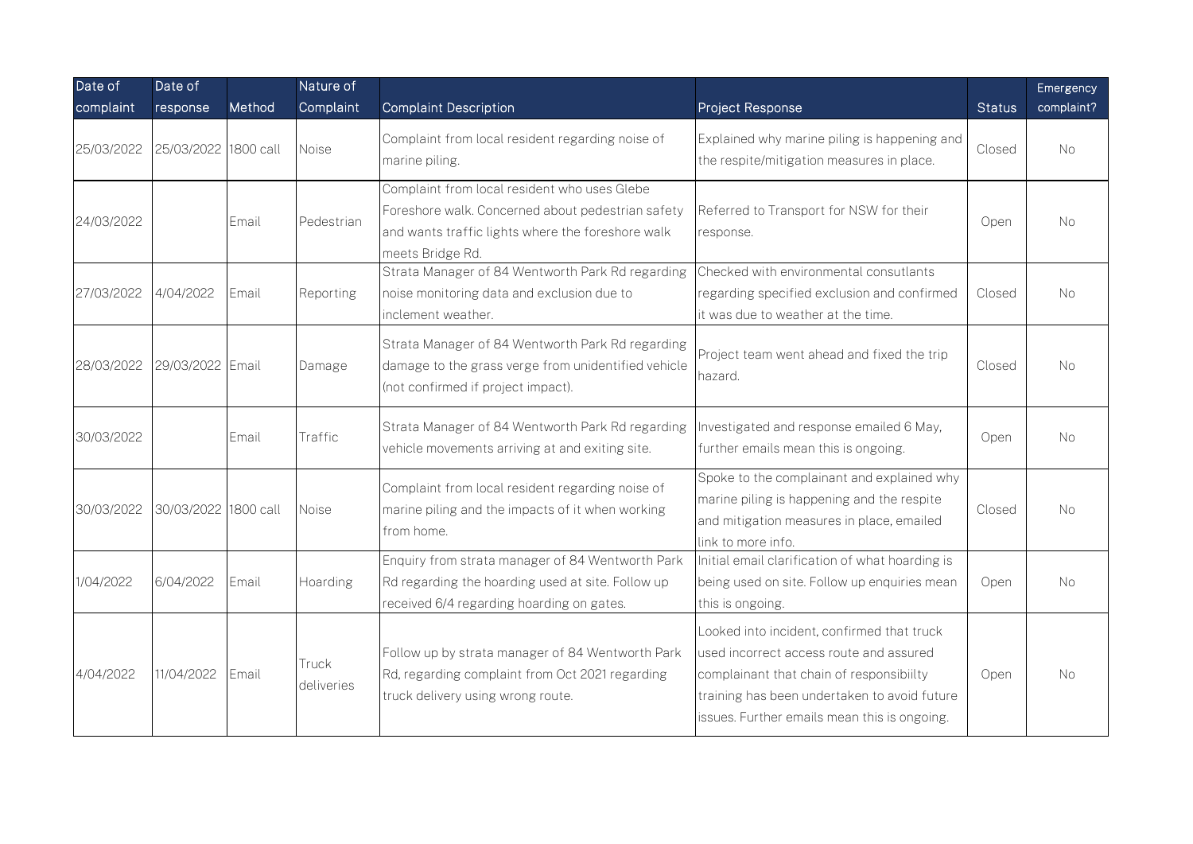| Date of    | Date of              |           | Nature of           |                                                                                                                                                                            |                                                                                                                                                                                                                                   |               | Emergency  |
|------------|----------------------|-----------|---------------------|----------------------------------------------------------------------------------------------------------------------------------------------------------------------------|-----------------------------------------------------------------------------------------------------------------------------------------------------------------------------------------------------------------------------------|---------------|------------|
| complaint  | response             | Method    | Complaint           | <b>Complaint Description</b>                                                                                                                                               | Project Response                                                                                                                                                                                                                  | <b>Status</b> | complaint? |
| 25/03/2022 | 25/03/2022           | 1800 call | Noise               | Complaint from local resident regarding noise of<br>marine piling.                                                                                                         | Explained why marine piling is happening and<br>the respite/mitigation measures in place.                                                                                                                                         | Closed        | No         |
| 24/03/2022 |                      | Email     | Pedestrian          | Complaint from local resident who uses Glebe<br>Foreshore walk. Concerned about pedestrian safety<br>and wants traffic lights where the foreshore walk<br>meets Bridge Rd. | Referred to Transport for NSW for their<br>response.                                                                                                                                                                              | Open          | No.        |
| 27/03/2022 | 4/04/2022            | Email     | Reporting           | Strata Manager of 84 Wentworth Park Rd regarding<br>noise monitoring data and exclusion due to<br>inclement weather.                                                       | Checked with environmental consutlants<br>regarding specified exclusion and confirmed<br>it was due to weather at the time.                                                                                                       | Closed        | <b>No</b>  |
| 28/03/2022 | 29/03/2022 Email     |           | Damage              | Strata Manager of 84 Wentworth Park Rd regarding<br>damage to the grass verge from unidentified vehicle<br>(not confirmed if project impact).                              | Project team went ahead and fixed the trip<br>hazard.                                                                                                                                                                             | Closed        | No         |
| 30/03/2022 |                      | Email     | Traffic             | Strata Manager of 84 Wentworth Park Rd regarding<br>vehicle movements arriving at and exiting site.                                                                        | Investigated and response emailed 6 May,<br>further emails mean this is ongoing.                                                                                                                                                  | Open          | No         |
| 30/03/2022 | 30/03/2022 1800 call |           | Noise               | Complaint from local resident regarding noise of<br>marine piling and the impacts of it when working<br>from home.                                                         | Spoke to the complainant and explained why<br>marine piling is happening and the respite<br>and mitigation measures in place, emailed<br>link to more info.                                                                       | Closed        | No.        |
| 1/04/2022  | 6/04/2022            | Email     | Hoarding            | Enquiry from strata manager of 84 Wentworth Park<br>Rd regarding the hoarding used at site. Follow up<br>received 6/4 regarding hoarding on gates.                         | Initial email clarification of what hoarding is<br>being used on site. Follow up enquiries mean<br>this is ongoing.                                                                                                               | Open          | No.        |
| 4/04/2022  | 11/04/2022           | Email     | Truck<br>deliveries | Follow up by strata manager of 84 Wentworth Park<br>Rd, regarding complaint from Oct 2021 regarding<br>truck delivery using wrong route.                                   | Looked into incident, confirmed that truck<br>used incorrect access route and assured<br>complainant that chain of responsibiilty<br>training has been undertaken to avoid future<br>issues. Further emails mean this is ongoing. | Open          | No.        |